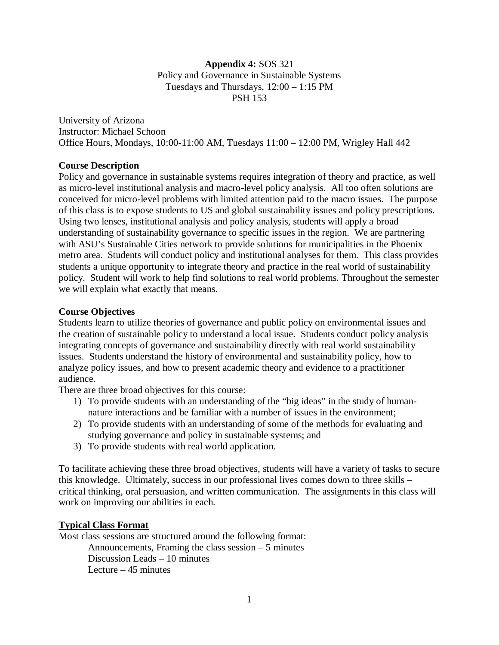### **Appendix 4:** SOS 321 Policy and Governance in Sustainable Systems Tuesdays and Thursdays, 12:00 – 1:15 PM PSH 153

University of Arizona Instructor: Michael Schoon Office Hours, Mondays, 10:00-11:00 AM, Tuesdays 11:00 – 12:00 PM, Wrigley Hall 442

# **Course Description**

Policy and governance in sustainable systems requires integration of theory and practice, as well as micro-level institutional analysis and macro-level policy analysis. All too often solutions are conceived for micro-level problems with limited attention paid to the macro issues. The purpose of this class is to expose students to US and global sustainability issues and policy prescriptions. Using two lenses, institutional analysis and policy analysis, students will apply a broad understanding of sustainability governance to specific issues in the region. We are partnering with ASU's Sustainable Cities network to provide solutions for municipalities in the Phoenix metro area. Students will conduct policy and institutional analyses for them. This class provides students a unique opportunity to integrate theory and practice in the real world of sustainability policy. Student will work to help find solutions to real world problems. Throughout the semester we will explain what exactly that means.

### **Course Objectives**

Students learn to utilize theories of governance and public policy on environmental issues and the creation of sustainable policy to understand a local issue. Students conduct policy analysis integrating concepts of governance and sustainability directly with real world sustainability issues. Students understand the history of environmental and sustainability policy, how to analyze policy issues, and how to present academic theory and evidence to a practitioner audience.

There are three broad objectives for this course:

- 1) To provide students with an understanding of the "big ideas" in the study of humannature interactions and be familiar with a number of issues in the environment;
- 2) To provide students with an understanding of some of the methods for evaluating and studying governance and policy in sustainable systems; and
- 3) To provide students with real world application.

To facilitate achieving these three broad objectives, students will have a variety of tasks to secure this knowledge. Ultimately, success in our professional lives comes down to three skills – critical thinking, oral persuasion, and written communication. The assignments in this class will work on improving our abilities in each.

### **Typical Class Format**

Most class sessions are structured around the following format: Announcements, Framing the class session – 5 minutes Discussion Leads – 10 minutes Lecture  $-45$  minutes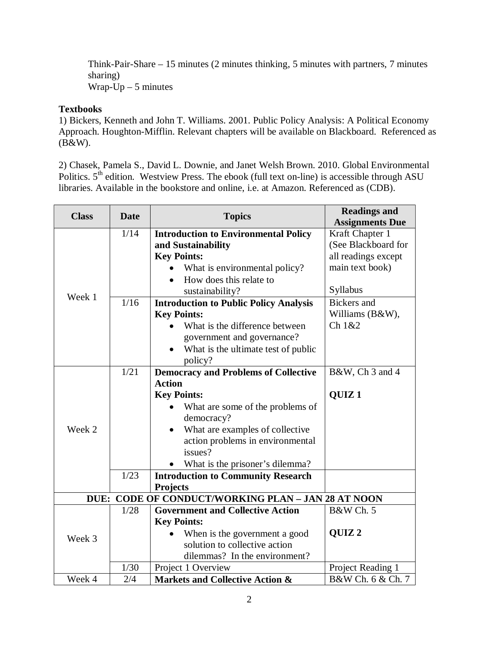Think-Pair-Share – 15 minutes (2 minutes thinking, 5 minutes with partners, 7 minutes sharing) Wrap- $Up - 5$  minutes

#### **Textbooks**

1) Bickers, Kenneth and John T. Williams. 2001. Public Policy Analysis: A Political Economy Approach. Houghton-Mifflin. Relevant chapters will be available on Blackboard. Referenced as (B&W).

2) Chasek, Pamela S., David L. Downie, and Janet Welsh Brown. 2010. Global Environmental Politics.  $5<sup>th</sup>$  edition. Westview Press. The ebook (full text on-line) is accessible through ASU libraries. Available in the bookstore and online, i.e. at Amazon. Referenced as (CDB).

| <b>Class</b> | <b>Date</b> | <b>Topics</b>                                      | <b>Readings and</b><br><b>Assignments Due</b> |
|--------------|-------------|----------------------------------------------------|-----------------------------------------------|
|              | 1/14        | <b>Introduction to Environmental Policy</b>        | Kraft Chapter 1                               |
|              |             | and Sustainability                                 | (See Blackboard for                           |
|              |             | <b>Key Points:</b>                                 | all readings except                           |
|              |             | What is environmental policy?                      | main text book)                               |
|              |             | How does this relate to                            |                                               |
| Week 1       |             | sustainability?                                    | Syllabus                                      |
|              | 1/16        | <b>Introduction to Public Policy Analysis</b>      | <b>Bickers</b> and                            |
|              |             | <b>Key Points:</b>                                 | Williams (B&W),                               |
|              |             | What is the difference between                     | Ch 1&2                                        |
|              |             | government and governance?                         |                                               |
|              |             | What is the ultimate test of public                |                                               |
|              |             | policy?                                            |                                               |
|              | 1/21        | <b>Democracy and Problems of Collective</b>        | B&W, Ch 3 and 4                               |
|              |             | <b>Action</b>                                      |                                               |
|              |             | <b>Key Points:</b>                                 | QUIZ <sub>1</sub>                             |
|              |             | What are some of the problems of                   |                                               |
|              |             | democracy?                                         |                                               |
| Week 2       |             | What are examples of collective<br>$\bullet$       |                                               |
|              |             | action problems in environmental                   |                                               |
|              |             | issues?                                            |                                               |
|              |             | What is the prisoner's dilemma?                    |                                               |
|              | 1/23        | <b>Introduction to Community Research</b>          |                                               |
|              |             | <b>Projects</b>                                    |                                               |
|              |             | DUE: CODE OF CONDUCT/WORKING PLAN - JAN 28 AT NOON |                                               |
| Week 3       | 1/28        | <b>Government and Collective Action</b>            | <b>B&amp;W</b> Ch. 5                          |
|              |             | <b>Key Points:</b>                                 |                                               |
|              |             | When is the government a good                      | QUIZ <sub>2</sub>                             |
|              |             | solution to collective action                      |                                               |
|              |             | dilemmas? In the environment?                      |                                               |
|              | 1/30        | Project 1 Overview                                 | Project Reading 1                             |
| Week 4       | 2/4         | <b>Markets and Collective Action &amp;</b>         | B&W Ch. 6 & Ch. 7                             |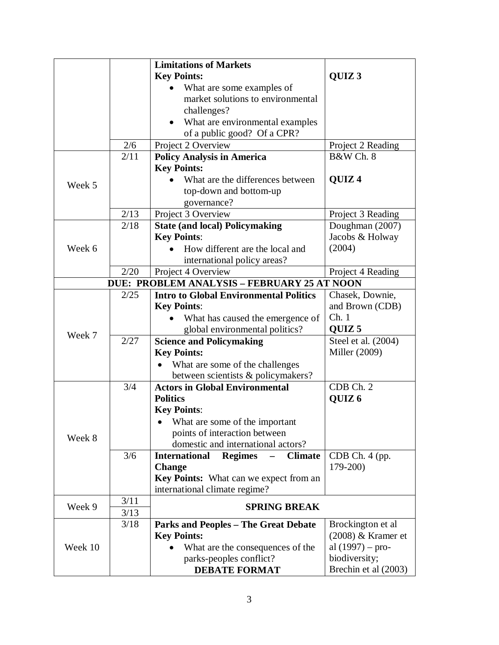|         |      | <b>Limitations of Markets</b>                                       |                      |
|---------|------|---------------------------------------------------------------------|----------------------|
|         |      | <b>Key Points:</b>                                                  | QUIZ <sub>3</sub>    |
|         |      | What are some examples of                                           |                      |
|         |      | market solutions to environmental                                   |                      |
|         |      | challenges?                                                         |                      |
|         |      | What are environmental examples                                     |                      |
|         |      | of a public good? Of a CPR?                                         |                      |
|         | 2/6  | Project 2 Overview                                                  | Project 2 Reading    |
|         | 2/11 | <b>Policy Analysis in America</b>                                   | B&W Ch. 8            |
|         |      | <b>Key Points:</b>                                                  |                      |
| Week 5  |      | What are the differences between                                    | QUIZ <sub>4</sub>    |
|         |      | top-down and bottom-up                                              |                      |
|         |      | governance?                                                         |                      |
|         | 2/13 | Project 3 Overview                                                  | Project 3 Reading    |
|         | 2/18 | <b>State (and local) Policymaking</b>                               | Doughman (2007)      |
|         |      | <b>Key Points:</b>                                                  | Jacobs & Holway      |
| Week 6  |      | How different are the local and                                     | (2004)               |
|         |      | international policy areas?                                         |                      |
|         | 2/20 | Project 4 Overview                                                  | Project 4 Reading    |
|         |      | DUE: PROBLEM ANALYSIS - FEBRUARY 25 AT NOON                         |                      |
|         | 2/25 | <b>Intro to Global Environmental Politics</b>                       | Chasek, Downie,      |
|         |      | <b>Key Points:</b>                                                  | and Brown (CDB)      |
|         |      | What has caused the emergence of                                    | Ch.1                 |
| Week 7  |      | global environmental politics?                                      | QUIZ <sub>5</sub>    |
|         | 2/27 | <b>Science and Policymaking</b>                                     | Steel et al. (2004)  |
|         |      | <b>Key Points:</b>                                                  | Miller (2009)        |
|         |      | What are some of the challenges                                     |                      |
|         |      | between scientists & policymakers?                                  |                      |
|         | 3/4  | <b>Actors in Global Environmental</b>                               | CDB Ch. 2            |
|         |      | <b>Politics</b>                                                     | QUIZ <sub>6</sub>    |
|         |      | <b>Key Points:</b>                                                  |                      |
|         |      | What are some of the important                                      |                      |
| Week 8  |      | points of interaction between<br>domestic and international actors? |                      |
|         | 3/6  | <b>Climate</b>                                                      | CDB Ch. 4 (pp.       |
|         |      | <b>International</b><br><b>Regimes</b><br><b>Change</b>             | $179 - 200$          |
|         |      | <b>Key Points:</b> What can we expect from an                       |                      |
|         |      | international climate regime?                                       |                      |
|         | 3/11 |                                                                     |                      |
| Week 9  | 3/13 | <b>SPRING BREAK</b>                                                 |                      |
| Week 10 | 3/18 | <b>Parks and Peoples - The Great Debate</b>                         | Brockington et al    |
|         |      | <b>Key Points:</b>                                                  | $(2008)$ & Kramer et |
|         |      | What are the consequences of the                                    | al $(1997)$ – pro-   |
|         |      | parks-peoples conflict?                                             | biodiversity;        |
|         |      | <b>DEBATE FORMAT</b>                                                | Brechin et al (2003) |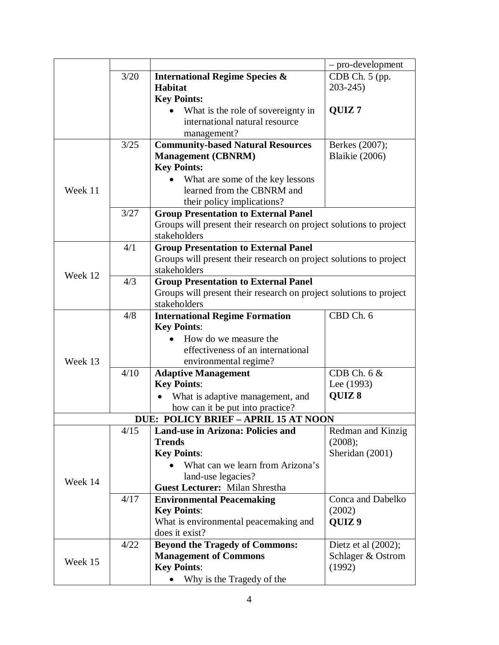|              |      |                                                                    | - pro-development   |  |
|--------------|------|--------------------------------------------------------------------|---------------------|--|
|              | 3/20 | <b>International Regime Species &amp;</b>                          | CDB Ch. 5 (pp.      |  |
|              |      | <b>Habitat</b>                                                     | $203 - 245$         |  |
|              |      | <b>Key Points:</b>                                                 |                     |  |
|              |      | What is the role of sovereignty in                                 | QUIZ <sub>7</sub>   |  |
|              |      | international natural resource                                     |                     |  |
|              |      | management?                                                        |                     |  |
|              | 3/25 | <b>Community-based Natural Resources</b>                           | Berkes (2007);      |  |
|              |      | <b>Management (CBNRM)</b>                                          | Blaikie (2006)      |  |
|              |      | <b>Key Points:</b>                                                 |                     |  |
|              |      | What are some of the key lessons                                   |                     |  |
| Week 11      |      | learned from the CBNRM and                                         |                     |  |
|              |      | their policy implications?                                         |                     |  |
|              | 3/27 | <b>Group Presentation to External Panel</b>                        |                     |  |
|              |      | Groups will present their research on project solutions to project |                     |  |
|              |      | stakeholders                                                       |                     |  |
|              | 4/1  | <b>Group Presentation to External Panel</b>                        |                     |  |
|              |      | Groups will present their research on project solutions to project |                     |  |
| Week 12      |      | stakeholders                                                       |                     |  |
|              | 4/3  | <b>Group Presentation to External Panel</b>                        |                     |  |
|              |      | Groups will present their research on project solutions to project |                     |  |
| stakeholders |      |                                                                    |                     |  |
|              | 4/8  | <b>International Regime Formation</b>                              | CBD Ch. 6           |  |
|              |      | <b>Key Points:</b>                                                 |                     |  |
|              |      | How do we measure the                                              |                     |  |
|              |      | effectiveness of an international                                  |                     |  |
| Week 13      |      | environmental regime?                                              |                     |  |
|              | 4/10 | <b>Adaptive Management</b>                                         | CDB Ch. $6 &$       |  |
|              |      | <b>Key Points:</b>                                                 | Lee (1993)          |  |
|              |      | What is adaptive management, and                                   | QUIZ 8              |  |
|              |      | how can it be put into practice?                                   |                     |  |
|              |      | <b>DUE: POLICY BRIEF - APRIL 15 AT NOON</b>                        |                     |  |
|              | 4/15 | <b>Land-use in Arizona: Policies and</b>                           | Redman and Kinzig   |  |
|              |      | <b>Trends</b>                                                      | (2008);             |  |
| Week 14      |      | <b>Key Points:</b>                                                 | Sheridan (2001)     |  |
|              |      | What can we learn from Arizona's                                   |                     |  |
|              |      | land-use legacies?                                                 |                     |  |
|              |      | <b>Guest Lecturer: Milan Shrestha</b>                              |                     |  |
|              | 4/17 | <b>Environmental Peacemaking</b>                                   | Conca and Dabelko   |  |
|              |      | <b>Key Points:</b>                                                 | (2002)              |  |
|              |      | What is environmental peacemaking and                              | QUIZ <sub>9</sub>   |  |
|              |      | does it exist?                                                     |                     |  |
|              | 4/22 | <b>Beyond the Tragedy of Commons:</b>                              | Dietz et al (2002); |  |
| Week 15      |      | <b>Management of Commons</b>                                       | Schlager & Ostrom   |  |
|              |      | <b>Key Points:</b>                                                 | (1992)              |  |
|              |      | Why is the Tragedy of the<br>$\bullet$                             |                     |  |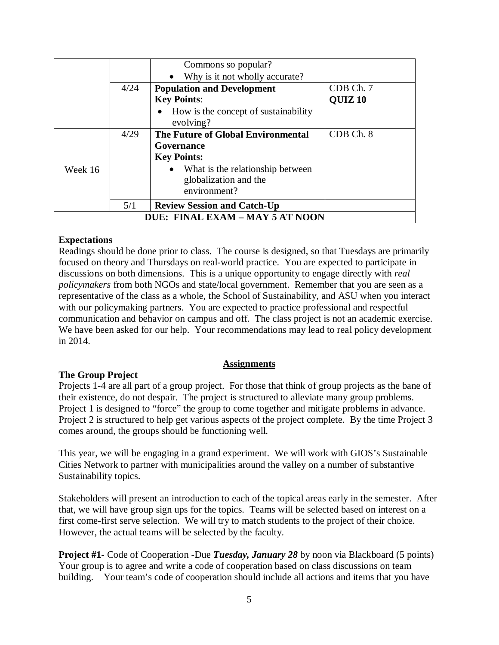|                                 |      | Commons so popular?                               |                    |
|---------------------------------|------|---------------------------------------------------|--------------------|
|                                 |      | Why is it not wholly accurate?<br>$\bullet$       |                    |
|                                 | 4/24 | <b>Population and Development</b>                 | CDB Ch. 7          |
|                                 |      | <b>Key Points:</b>                                | QUIZ <sub>10</sub> |
|                                 |      | How is the concept of sustainability<br>evolving? |                    |
|                                 | 4/29 | The Future of Global Environmental                | CDB Ch. 8          |
|                                 |      | Governance                                        |                    |
|                                 |      | <b>Key Points:</b>                                |                    |
| Week 16                         |      | What is the relationship between<br>$\bullet$     |                    |
|                                 |      | globalization and the                             |                    |
|                                 |      | environment?                                      |                    |
|                                 | 5/1  | <b>Review Session and Catch-Up</b>                |                    |
| DUE: FINAL EXAM - MAY 5 AT NOON |      |                                                   |                    |

# **Expectations**

Readings should be done prior to class. The course is designed, so that Tuesdays are primarily focused on theory and Thursdays on real-world practice. You are expected to participate in discussions on both dimensions. This is a unique opportunity to engage directly with *real policymakers* from both NGOs and state/local government. Remember that you are seen as a representative of the class as a whole, the School of Sustainability, and ASU when you interact with our policymaking partners. You are expected to practice professional and respectful communication and behavior on campus and off. The class project is not an academic exercise. We have been asked for our help. Your recommendations may lead to real policy development in 2014.

### **Assignments**

### **The Group Project**

Projects 1-4 are all part of a group project. For those that think of group projects as the bane of their existence, do not despair. The project is structured to alleviate many group problems. Project 1 is designed to "force" the group to come together and mitigate problems in advance. Project 2 is structured to help get various aspects of the project complete. By the time Project 3 comes around, the groups should be functioning well.

This year, we will be engaging in a grand experiment. We will work with GIOS's Sustainable Cities Network to partner with municipalities around the valley on a number of substantive Sustainability topics.

Stakeholders will present an introduction to each of the topical areas early in the semester. After that, we will have group sign ups for the topics. Teams will be selected based on interest on a first come-first serve selection. We will try to match students to the project of their choice. However, the actual teams will be selected by the faculty.

**Project #1-** Code of Cooperation -Due *Tuesday, January 28* by noon via Blackboard (5 points) Your group is to agree and write a code of cooperation based on class discussions on team building. Your team's code of cooperation should include all actions and items that you have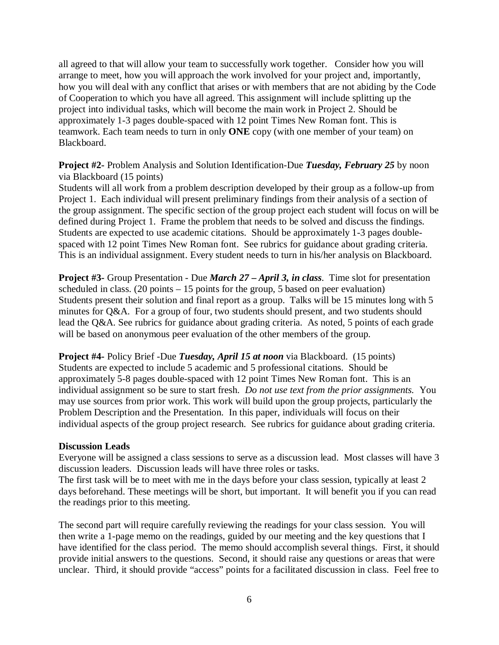all agreed to that will allow your team to successfully work together. Consider how you will arrange to meet, how you will approach the work involved for your project and, importantly, how you will deal with any conflict that arises or with members that are not abiding by the Code of Cooperation to which you have all agreed. This assignment will include splitting up the project into individual tasks, which will become the main work in Project 2. Should be approximately 1-3 pages double-spaced with 12 point Times New Roman font. This is teamwork. Each team needs to turn in only **ONE** copy (with one member of your team) on Blackboard.

**Project #2-** Problem Analysis and Solution Identification-Due *Tuesday, February 25* by noon via Blackboard (15 points)

Students will all work from a problem description developed by their group as a follow-up from Project 1. Each individual will present preliminary findings from their analysis of a section of the group assignment. The specific section of the group project each student will focus on will be defined during Project 1. Frame the problem that needs to be solved and discuss the findings. Students are expected to use academic citations. Should be approximately 1-3 pages doublespaced with 12 point Times New Roman font. See rubrics for guidance about grading criteria. This is an individual assignment. Every student needs to turn in his/her analysis on Blackboard.

**Project #3-** Group Presentation - Due *March 27 – April 3, in class*. Time slot for presentation scheduled in class. (20 points  $-15$  points for the group, 5 based on peer evaluation) Students present their solution and final report as a group. Talks will be 15 minutes long with 5 minutes for Q&A. For a group of four, two students should present, and two students should lead the Q&A. See rubrics for guidance about grading criteria. As noted, 5 points of each grade will be based on anonymous peer evaluation of the other members of the group.

**Project #4-** Policy Brief -Due *Tuesday, April 15 at noon* via Blackboard. (15 points) Students are expected to include 5 academic and 5 professional citations. Should be approximately 5-8 pages double-spaced with 12 point Times New Roman font. This is an individual assignment so be sure to start fresh. *Do not use text from the prior assignments.* You may use sources from prior work. This work will build upon the group projects, particularly the Problem Description and the Presentation. In this paper, individuals will focus on their individual aspects of the group project research. See rubrics for guidance about grading criteria.

### **Discussion Leads**

Everyone will be assigned a class sessions to serve as a discussion lead. Most classes will have 3 discussion leaders. Discussion leads will have three roles or tasks.

The first task will be to meet with me in the days before your class session, typically at least 2 days beforehand. These meetings will be short, but important. It will benefit you if you can read the readings prior to this meeting.

The second part will require carefully reviewing the readings for your class session. You will then write a 1-page memo on the readings, guided by our meeting and the key questions that I have identified for the class period. The memo should accomplish several things. First, it should provide initial answers to the questions. Second, it should raise any questions or areas that were unclear. Third, it should provide "access" points for a facilitated discussion in class. Feel free to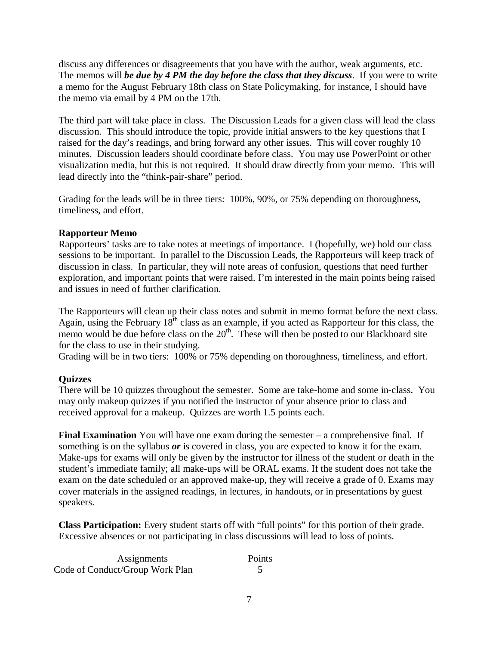discuss any differences or disagreements that you have with the author, weak arguments, etc. The memos will *be due by 4 PM the day before the class that they discuss*. If you were to write a memo for the August February 18th class on State Policymaking, for instance, I should have the memo via email by 4 PM on the 17th.

The third part will take place in class. The Discussion Leads for a given class will lead the class discussion. This should introduce the topic, provide initial answers to the key questions that I raised for the day's readings, and bring forward any other issues. This will cover roughly 10 minutes. Discussion leaders should coordinate before class. You may use PowerPoint or other visualization media, but this is not required. It should draw directly from your memo. This will lead directly into the "think-pair-share" period.

Grading for the leads will be in three tiers: 100%, 90%, or 75% depending on thoroughness, timeliness, and effort.

# **Rapporteur Memo**

Rapporteurs' tasks are to take notes at meetings of importance. I (hopefully, we) hold our class sessions to be important. In parallel to the Discussion Leads, the Rapporteurs will keep track of discussion in class. In particular, they will note areas of confusion, questions that need further exploration, and important points that were raised. I'm interested in the main points being raised and issues in need of further clarification.

The Rapporteurs will clean up their class notes and submit in memo format before the next class. Again, using the February  $18<sup>th</sup>$  class as an example, if you acted as Rapporteur for this class, the memo would be due before class on the  $20<sup>th</sup>$ . These will then be posted to our Blackboard site for the class to use in their studying.

Grading will be in two tiers: 100% or 75% depending on thoroughness, timeliness, and effort.

# **Quizzes**

There will be 10 quizzes throughout the semester. Some are take-home and some in-class. You may only makeup quizzes if you notified the instructor of your absence prior to class and received approval for a makeup. Quizzes are worth 1.5 points each.

**Final Examination** You will have one exam during the semester – a comprehensive final. If something is on the syllabus *or* is covered in class, you are expected to know it for the exam. Make-ups for exams will only be given by the instructor for illness of the student or death in the student's immediate family; all make-ups will be ORAL exams. If the student does not take the exam on the date scheduled or an approved make-up, they will receive a grade of 0. Exams may cover materials in the assigned readings, in lectures, in handouts, or in presentations by guest speakers.

**Class Participation:** Every student starts off with "full points" for this portion of their grade. Excessive absences or not participating in class discussions will lead to loss of points.

| Assignments                     | Points |
|---------------------------------|--------|
| Code of Conduct/Group Work Plan |        |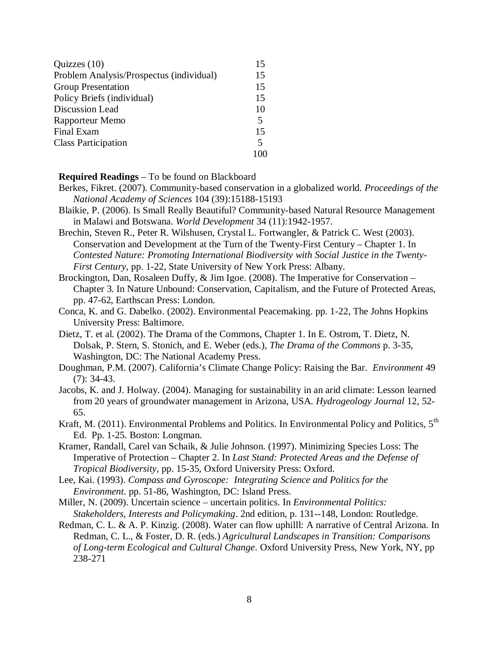| Quizzes $(10)$                           | 15 |
|------------------------------------------|----|
| Problem Analysis/Prospectus (individual) | 15 |
| <b>Group Presentation</b>                | 15 |
| Policy Briefs (individual)               | 15 |
| Discussion Lead                          | 10 |
| Rapporteur Memo                          | 5  |
| Final Exam                               | 15 |
| <b>Class Participation</b>               | 5  |
|                                          |    |

#### **Required Readings** – To be found on Blackboard

- Berkes, Fikret. (2007). Community-based conservation in a globalized world. *Proceedings of the National Academy of Sciences* 104 (39):15188-15193
- Blaikie, P. (2006). Is Small Really Beautiful? Community-based Natural Resource Management in Malawi and Botswana. *World Development* 34 (11):1942-1957.
- Brechin, Steven R., Peter R. Wilshusen, Crystal L. Fortwangler, & Patrick C. West (2003). Conservation and Development at the Turn of the Twenty-First Century – Chapter 1. In *Contested Nature: Promoting International Biodiversity with Social Justice in the Twenty-First Century*, pp. 1-22, State University of New York Press: Albany.
- Brockington, Dan, Rosaleen Duffy, & Jim Igoe. (2008). The Imperative for Conservation Chapter 3. In Nature Unbound: Conservation, Capitalism, and the Future of Protected Areas, pp. 47-62, Earthscan Press: London.
- Conca, K. and G. Dabelko. (2002). Environmental Peacemaking. pp. 1-22, The Johns Hopkins University Press: Baltimore.
- Dietz, T. et al. (2002). The Drama of the Commons, Chapter 1. In E. Ostrom, T. Dietz, N. Dolsak, P. Stern, S. Stonich, and E. Weber (eds.), *The Drama of the Commons* p. 3-35, Washington, DC: The National Academy Press.
- Doughman, P.M. (2007). California's Climate Change Policy: Raising the Bar. *Environment* 49 (7): 34-43.
- Jacobs, K. and J. Holway. (2004). Managing for sustainability in an arid climate: Lesson learned from 20 years of groundwater management in Arizona, USA. *Hydrogeology Journal* 12, 52- 65.
- Kraft, M. (2011). Environmental Problems and Politics. In Environmental Policy and Politics, 5<sup>th</sup> Ed. Pp. 1-25. Boston: Longman.
- Kramer, Randall, Carel van Schaik, & Julie Johnson. (1997). Minimizing Species Loss: The Imperative of Protection – Chapter 2. In *Last Stand: Protected Areas and the Defense of Tropical Biodiversity*, pp. 15-35, Oxford University Press: Oxford.
- Lee, Kai. (1993). *Compass and Gyroscope: Integrating Science and Politics for the Environment*. pp. 51-86, Washington, DC: Island Press.
- Miller, N. (2009). Uncertain science uncertain politics. In *Environmental Politics: Stakeholders, Interests and Policymaking*. 2nd edition, p. 131--148, London: Routledge.
- Redman, C. L. & A. P. Kinzig. (2008). Water can flow uphilll: A narrative of Central Arizona. In Redman, C. L., & Foster, D. R. (eds.) *Agricultural Landscapes in Transition: Comparisons of Long-term Ecological and Cultural Change*. Oxford University Press, New York, NY, pp 238-271